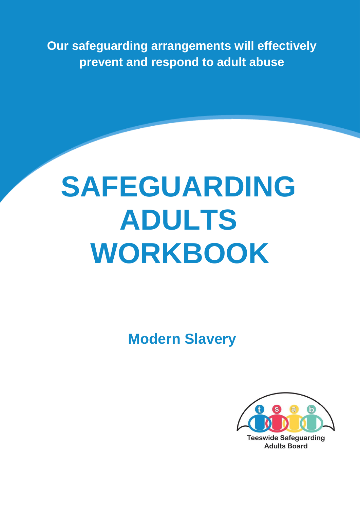**Our safeguarding arrangements will effectively prevent and respond to adult abuse** 

# **SAFEGUARDING ADULTS WORKBOOK**

 **Modern Slavery** 

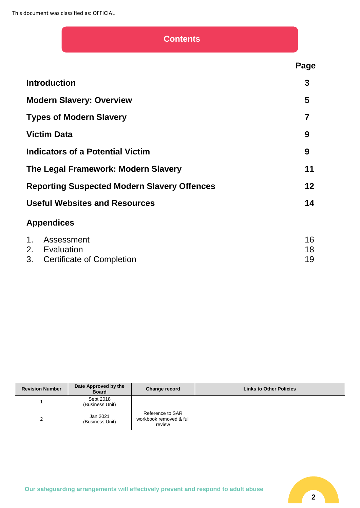# **Contents**

|                                                    | Page     |
|----------------------------------------------------|----------|
| <b>Introduction</b>                                | 3        |
| <b>Modern Slavery: Overview</b>                    | 5        |
| <b>Types of Modern Slavery</b>                     | 7        |
| <b>Victim Data</b>                                 | 9        |
| Indicators of a Potential Victim                   | 9        |
| The Legal Framework: Modern Slavery                | 11       |
| <b>Reporting Suspected Modern Slavery Offences</b> | 12       |
| <b>Useful Websites and Resources</b>               | 14       |
| <b>Appendices</b>                                  |          |
| Assessment<br>$1_{\cdot}$<br>2. Evaluation         | 16<br>18 |

| z. Lvaluativi i              |  |
|------------------------------|--|
| 3. Certificate of Completion |  |

| <b>Revision Number</b> | Date Approved by the<br><b>Board</b> | Change record                                         | <b>Links to Other Policies</b> |
|------------------------|--------------------------------------|-------------------------------------------------------|--------------------------------|
|                        | Sept 2018<br>(Business Unit)         |                                                       |                                |
|                        | Jan 2021<br>(Business Unit)          | Reference to SAR<br>workbook removed & full<br>review |                                |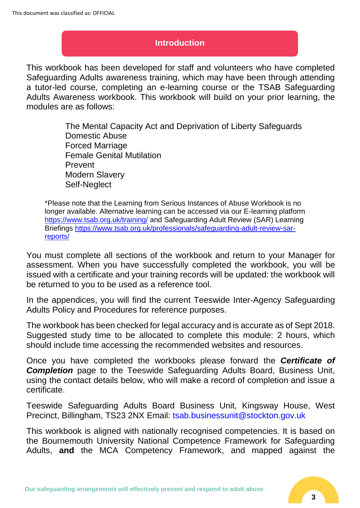### **Introduction**

This workbook has been developed for staff and volunteers who have completed Safeguarding Adults awareness training, which may have been through attending a tutor-led course, completing an e-learning course or the TSAB Safeguarding Adults Awareness workbook. This workbook will build on your prior learning, the modules are as follows:

> The Mental Capacity Act and Deprivation of Liberty Safeguards Domestic Abuse Forced Marriage Female Genital Mutilation Prevent Modern Slavery Self-Neglect

\*Please note that the Learning from Serious Instances of Abuse Workbook is no longer available. Alternative learning can be accessed via our E-learning platform <https://www.tsab.org.uk/training/> and Safeguarding Adult Review (SAR) Learning Briefings [https://www.tsab.org.uk/professionals/safeguarding-adult-review-sar](https://www.tsab.org.uk/professionals/safeguarding-adult-review-sar-reports/)[reports/](https://www.tsab.org.uk/professionals/safeguarding-adult-review-sar-reports/)

You must complete all sections of the workbook and return to your Manager for assessment. When you have successfully completed the workbook, you will be issued with a certificate and your training records will be updated: the workbook will be returned to you to be used as a reference tool.

In the appendices, you will find the current Teeswide Inter-Agency Safeguarding Adults Policy and Procedures for reference purposes.

The workbook has been checked for legal accuracy and is accurate as of Sept 2018. Suggested study time to be allocated to complete this module: 2 hours, which should include time accessing the recommended websites and resources.

Once you have completed the workbooks please forward the *Certificate of*  **Completion** page to the Teeswide Safeguarding Adults Board, Business Unit, using the contact details below, who will make a record of completion and issue a certificate.

Teeswide Safeguarding Adults Board Business Unit, Kingsway House, West Precinct, Billingham, TS23 2NX Email: tsab.businessunit@stockton.gov.uk

This workbook is aligned with nationally recognised competencies. It is based on the Bournemouth University National Competence Framework for Safeguarding Adults, **and** the MCA Competency Framework, and mapped against the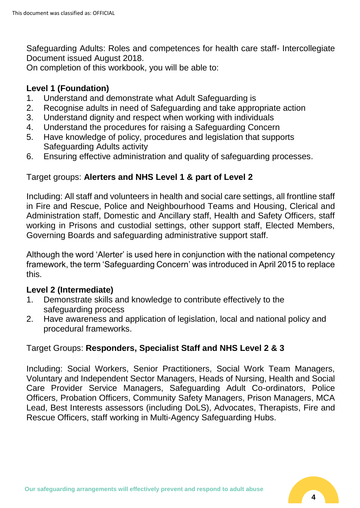Safeguarding Adults: Roles and competences for health care staff- Intercollegiate Document issued August 2018.

On completion of this workbook, you will be able to:

# **Level 1 (Foundation)**

- 1. Understand and demonstrate what Adult Safeguarding is
- 2. Recognise adults in need of Safeguarding and take appropriate action
- 3. Understand dignity and respect when working with individuals
- 4. Understand the procedures for raising a Safeguarding Concern
- 5. Have knowledge of policy, procedures and legislation that supports Safeguarding Adults activity
- 6. Ensuring effective administration and quality of safeguarding processes.

# Target groups: **Alerters and NHS Level 1 & part of Level 2**

Including: All staff and volunteers in health and social care settings, all frontline staff in Fire and Rescue, Police and Neighbourhood Teams and Housing, Clerical and Administration staff, Domestic and Ancillary staff, Health and Safety Officers, staff working in Prisons and custodial settings, other support staff, Elected Members, Governing Boards and safeguarding administrative support staff.

Although the word 'Alerter' is used here in conjunction with the national competency framework, the term 'Safeguarding Concern' was introduced in April 2015 to replace this.

# **Level 2 (Intermediate)**

- 1. Demonstrate skills and knowledge to contribute effectively to the safeguarding process
- 2. Have awareness and application of legislation, local and national policy and procedural frameworks.

# Target Groups: **Responders, Specialist Staff and NHS Level 2 & 3**

Including: Social Workers, Senior Practitioners, Social Work Team Managers, Voluntary and Independent Sector Managers, Heads of Nursing, Health and Social Care Provider Service Managers, Safeguarding Adult Co-ordinators, Police Officers, Probation Officers, Community Safety Managers, Prison Managers, MCA Lead, Best Interests assessors (including DoLS), Advocates, Therapists, Fire and Rescue Officers, staff working in Multi-Agency Safeguarding Hubs.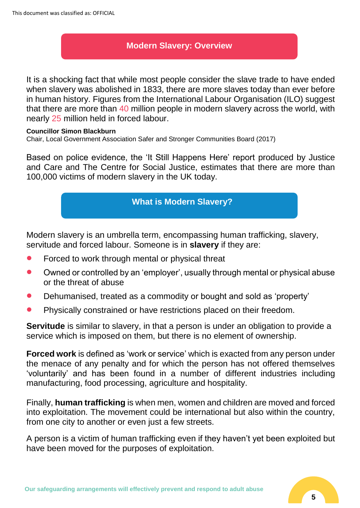# **Modern Slavery: Overview**

It is a shocking fact that while most people consider the slave trade to have ended when slavery was abolished in 1833, there are more slaves today than ever before in human history. Figures from the International Labour Organisation (ILO) suggest that there are more than 40 million people in modern slavery across the world, with nearly 25 million held in forced labour.

#### **Councillor Simon Blackburn**

Chair, Local Government Association Safer and Stronger Communities Board (2017)

Based on police evidence, the 'It Still Happens Here' report produced by Justice and Care and The Centre for Social Justice, estimates that there are more than 100,000 victims of modern slavery in the UK today.

# **What is Modern Slavery?**

Modern slavery is an umbrella term, encompassing human trafficking, slavery, servitude and forced labour. Someone is in **slavery** if they are:

- Forced to work through mental or physical threat
- Owned or controlled by an 'employer', usually through mental or physical abuse or the threat of abuse
- Dehumanised, treated as a commodity or bought and sold as 'property'
- Physically constrained or have restrictions placed on their freedom.

**Servitude** is similar to slavery, in that a person is under an obligation to provide a service which is imposed on them, but there is no element of ownership.

**Forced work** is defined as 'work or service' which is exacted from any person under the menace of any penalty and for which the person has not offered themselves 'voluntarily' and has been found in a number of different industries including manufacturing, food processing, agriculture and hospitality.

Finally, **human trafficking** is when men, women and children are moved and forced into exploitation. The movement could be international but also within the country, from one city to another or even just a few streets.

A person is a victim of human trafficking even if they haven't yet been exploited but have been moved for the purposes of exploitation.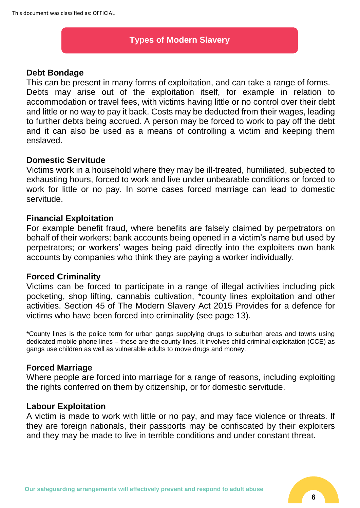# **Types of Modern Slavery**

#### **Debt Bondage**

This can be present in many forms of exploitation, and can take a range of forms. Debts may arise out of the exploitation itself, for example in relation to accommodation or travel fees, with victims having little or no control over their debt and little or no way to pay it back. Costs may be deducted from their wages, leading to further debts being accrued. A person may be forced to work to pay off the debt and it can also be used as a means of controlling a victim and keeping them enslaved.

#### **Domestic Servitude**

Victims work in a household where they may be ill-treated, humiliated, subjected to exhausting hours, forced to work and live under unbearable conditions or forced to work for little or no pay. In some cases forced marriage can lead to domestic servitude.

#### **Financial Exploitation**

For example benefit fraud, where benefits are falsely claimed by perpetrators on behalf of their workers; bank accounts being opened in a victim's name but used by perpetrators; or workers' wages being paid directly into the exploiters own bank accounts by companies who think they are paying a worker individually.

## **Forced Criminality**

Victims can be forced to participate in a range of illegal activities including pick pocketing, shop lifting, cannabis cultivation, \*county lines exploitation and other activities. Section 45 of The Modern Slavery Act 2015 Provides for a defence for victims who have been forced into criminality (see page 13).

\*County lines is the police term for urban gangs supplying drugs to suburban areas and towns using dedicated mobile phone lines – these are the county lines. It involves child criminal exploitation (CCE) as gangs use children as well as vulnerable adults to move drugs and money.

## **Forced Marriage**

Where people are forced into marriage for a range of reasons, including exploiting the rights conferred on them by citizenship, or for domestic servitude.

#### **Labour Exploitation**

A victim is made to work with little or no pay, and may face violence or threats. If they are foreign nationals, their passports may be confiscated by their exploiters and they may be made to live in terrible conditions and under constant threat.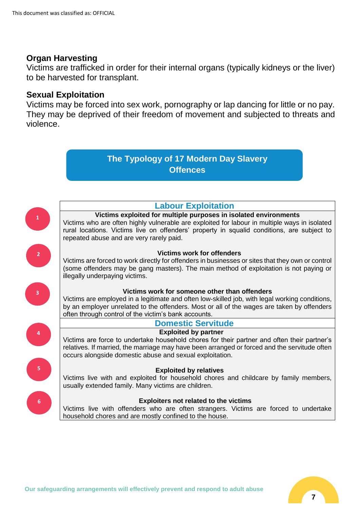#### **Organ Harvesting**

Victims are trafficked in order for their internal organs (typically kidneys or the liver) to be harvested for transplant.

### **Sexual Exploitation**

Victims may be forced into sex work, pornography or lap dancing for little or no pay. They may be deprived of their freedom of movement and subjected to threats and violence.

# **The Typology of 17 Modern Day Slavery Offences**



**Victims exploited for multiple purposes in isolated environments** Victims who are often highly vulnerable are exploited for labour in multiple ways in isolated

rural locations. Victims live on offenders' property in squalid conditions, are subject to repeated abuse and are very rarely paid.

#### **Victims work for offenders**

Victims are forced to work directly for offenders in businesses or sites that they own or control (some offenders may be gang masters). The main method of exploitation is not paying or illegally underpaying victims.



**1**

**2**

#### **Victims work for someone other than offenders**

Victims are employed in a legitimate and often low-skilled job, with legal working conditions, by an employer unrelated to the offenders. Most or all of the wages are taken by offenders often through control of the victim's bank accounts.



**5**

**6**

### **Domestic Servitude**

#### **Exploited by partner**

Victims are force to undertake household chores for their partner and often their partner's relatives. If married, the marriage may have been arranged or forced and the servitude often occurs alongside domestic abuse and sexual exploitation.

#### **Exploited by relatives**

Victims live with and exploited for household chores and childcare by family members, usually extended family. Many victims are children.

#### **Exploiters not related to the victims**

Victims live with offenders who are often strangers. Victims are forced to undertake household chores and are mostly confined to the house.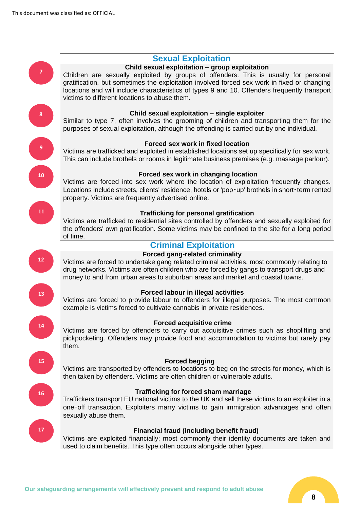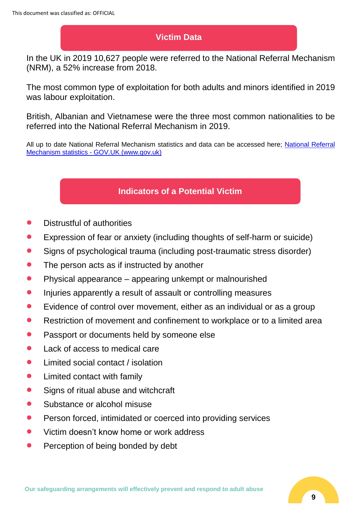# **Victim Data**

In the UK in 2019 10,627 people were referred to the National Referral Mechanism (NRM), a 52% increase from 2018.

The most common type of exploitation for both adults and minors identified in 2019 was labour exploitation.

British, Albanian and Vietnamese were the three most common nationalities to be referred into the National Referral Mechanism in 2019.

All up to date [National Referral](https://www.gov.uk/government/collections/national-referral-mechanism-statistics) Mechanism statistics and data can be accessed here; National Referral Mechanism statistics - [GOV.UK \(www.gov.uk\)](https://www.gov.uk/government/collections/national-referral-mechanism-statistics)

# **Indicators of a Potential Victim**

- Distrustful of authorities
- Expression of fear or anxiety (including thoughts of self-harm or suicide)
- Signs of psychological trauma (including post-traumatic stress disorder)
- The person acts as if instructed by another
- Physical appearance appearing unkempt or malnourished
- Injuries apparently a result of assault or controlling measures
- Evidence of control over movement, either as an individual or as a group
- Restriction of movement and confinement to workplace or to a limited area
- Passport or documents held by someone else
- Lack of access to medical care
- Limited social contact / isolation
- Limited contact with family
- Signs of ritual abuse and witchcraft
- Substance or alcohol misuse
- Person forced, intimidated or coerced into providing services
- Victim doesn't know home or work address
- Perception of being bonded by debt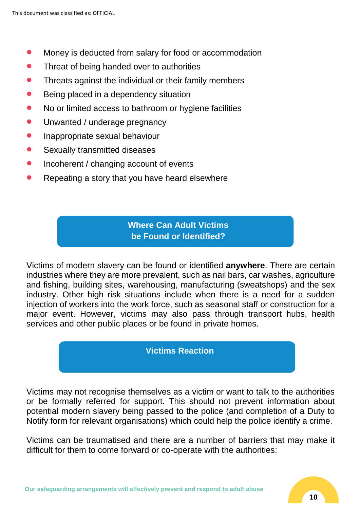- Money is deducted from salary for food or accommodation
- Threat of being handed over to authorities
- Threats against the individual or their family members
- Being placed in a dependency situation
- No or limited access to bathroom or hygiene facilities
- Unwanted / underage pregnancy
- **•** Inappropriate sexual behaviour
- Sexually transmitted diseases
- Incoherent / changing account of events
- Repeating a story that you have heard elsewhere

# **Where Can Adult Victims be Found or Identified?**

Victims of modern slavery can be found or identified **anywhere**. There are certain industries where they are more prevalent, such as nail bars, car washes, agriculture and fishing, building sites, warehousing, manufacturing (sweatshops) and the sex industry. Other high risk situations include when there is a need for a sudden injection of workers into the work force, such as seasonal staff or construction for a major event. However, victims may also pass through transport hubs, health services and other public places or be found in private homes.

#### **Victims Reaction**

Victims may not recognise themselves as a victim or want to talk to the authorities or be formally referred for support. This should not prevent information about potential modern slavery being passed to the police (and completion of a Duty to Notify form for relevant organisations) which could help the police identify a crime.

Victims can be traumatised and there are a number of barriers that may make it difficult for them to come forward or co-operate with the authorities: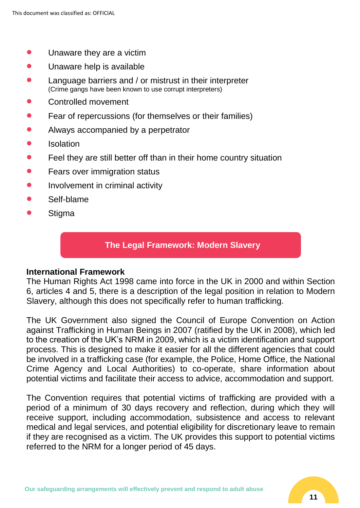- Unaware they are a victim
- Unaware help is available
- Language barriers and / or mistrust in their interpreter (Crime gangs have been known to use corrupt interpreters)
- Controlled movement
- Fear of repercussions (for themselves or their families)
- Always accompanied by a perpetrator
- Isolation
- Feel they are still better off than in their home country situation
- Fears over immigration status
- Involvement in criminal activity
- Self-blame
- **Stigma**

#### **The Legal Framework: Modern Slavery**

#### **International Framework**

The Human Rights Act 1998 came into force in the UK in 2000 and within Section 6, articles 4 and 5, there is a description of the legal position in relation to Modern Slavery, although this does not specifically refer to human trafficking.

The UK Government also signed the Council of Europe Convention on Action against Trafficking in Human Beings in 2007 (ratified by the UK in 2008), which led to the creation of the UK's NRM in 2009, which is a victim identification and support process. This is designed to make it easier for all the different agencies that could be involved in a trafficking case (for example, the Police, Home Office, the National Crime Agency and Local Authorities) to co-operate, share information about potential victims and facilitate their access to advice, accommodation and support.

The Convention requires that potential victims of trafficking are provided with a period of a minimum of 30 days recovery and reflection, during which they will receive support, including accommodation, subsistence and access to relevant medical and legal services, and potential eligibility for discretionary leave to remain if they are recognised as a victim. The UK provides this support to potential victims referred to the NRM for a longer period of 45 days.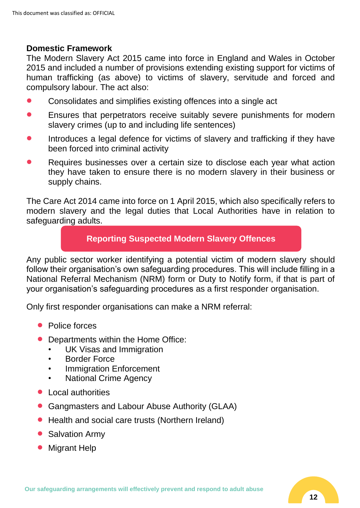#### **Domestic Framework**

The Modern Slavery Act 2015 came into force in England and Wales in October 2015 and included a number of provisions extending existing support for victims of human trafficking (as above) to victims of slavery, servitude and forced and compulsory labour. The act also:

- Consolidates and simplifies existing offences into a single act
- Ensures that perpetrators receive suitably severe punishments for modern slavery crimes (up to and including life sentences)
- Introduces a legal defence for victims of slavery and trafficking if they have been forced into criminal activity
- Requires businesses over a certain size to disclose each year what action they have taken to ensure there is no modern slavery in their business or supply chains.

The Care Act 2014 came into force on 1 April 2015, which also specifically refers to modern slavery and the legal duties that Local Authorities have in relation to safeguarding adults.

# **Reporting Suspected Modern Slavery Offences**

Any public sector worker identifying a potential victim of modern slavery should follow their organisation's own safeguarding procedures. This will include filling in a National Referral Mechanism (NRM) form or Duty to Notify form, if that is part of your organisation's safeguarding procedures as a first responder organisation.

Only first responder organisations can make a NRM referral:

- Police forces
- Departments within the Home Office:
	- UK Visas and Immigration
	- **Border Force**
	- **Immigration Enforcement**
	- National Crime Agency
- Local authorities
- Gangmasters and Labour Abuse Authority (GLAA)
- Health and social care trusts (Northern Ireland)
- Salvation Army
- Migrant Help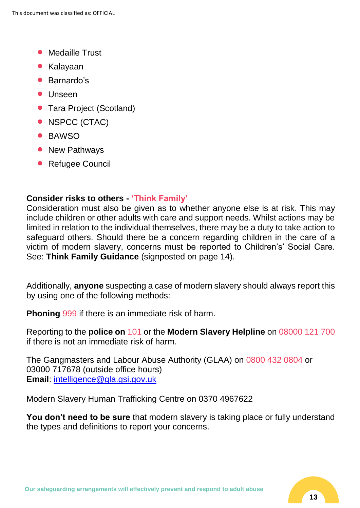- Medaille Trust
- Kalayaan
- Barnardo's
- Unseen
- Tara Project (Scotland)
- NSPCC (CTAC)
- BAWSO
- New Pathways
- Refugee Council

# **Consider risks to others - 'Think Family'**

Consideration must also be given as to whether anyone else is at risk. This may include children or other adults with care and support needs. Whilst actions may be limited in relation to the individual themselves, there may be a duty to take action to safeguard others. Should there be a concern regarding children in the care of a victim of modern slavery, concerns must be reported to Children's' Social Care. See: **Think Family Guidance** (signposted on page 14).

Additionally, **anyone** suspecting a case of modern slavery should always report this by using one of the following methods:

**Phoning** 999 if there is an immediate risk of harm.

Reporting to the **police on** 101 or the **Modern Slavery Helpline** on 08000 121 700 if there is not an immediate risk of harm.

The Gangmasters and Labour Abuse Authority (GLAA) on 0800 432 0804 or 03000 717678 (outside office hours) **Email**: [intelligence@gla.gsi.gov.uk](mailto:intelligence@gla.gsi.gov.uk)

Modern Slavery Human Trafficking Centre on 0370 4967622

**You don't need to be sure** that modern slavery is taking place or fully understand the types and definitions to report your concerns.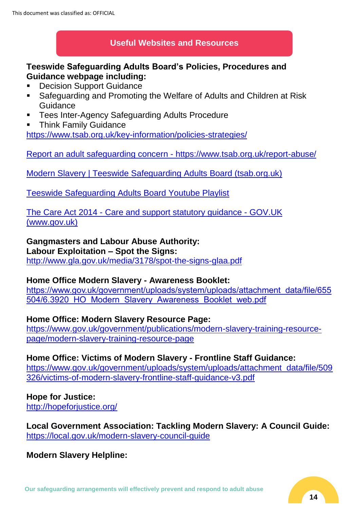## **Useful Websites and Resources**

## **Teeswide Safeguarding Adults Board's Policies, Procedures and Guidance webpage including:**

- Decision Support Guidance
- Safeguarding and Promoting the Welfare of Adults and Children at Risk **Guidance**
- Tees Inter-Agency Safeguarding Adults Procedure
- **Think Family Guidance**

<https://www.tsab.org.uk/key-information/policies-strategies/>

Report an adult safeguarding concern - <https://www.tsab.org.uk/report-abuse/>

[Modern Slavery | Teeswide Safeguarding Adults Board \(tsab.org.uk\)](https://www.tsab.org.uk/key-information/general-public/modern-slavery/)

Teeswide Safeguarding Adults Board Youtube Playlist

The Care Act 2014 - [Care and support statutory guidance -](https://www.gov.uk/government/publications/care-act-statutory-guidance/care-and-support-statutory-guidance) GOV.UK [\(www.gov.uk\)](https://www.gov.uk/government/publications/care-act-statutory-guidance/care-and-support-statutory-guidance)

# **Gangmasters and Labour Abuse Authority:**

# **Labour Exploitation – Spot the Signs:**

<http://www.gla.gov.uk/media/3178/spot-the-signs-glaa.pdf>

#### **Home Office Modern Slavery - Awareness Booklet:**

[https://www.gov.uk/government/uploads/system/uploads/attachment\\_data/file/655](https://www.gov.uk/government/uploads/system/uploads/attachment_data/file/655504/6.3920_HO_Modern_Slavery_Awareness_Booklet_web.pdf) [504/6.3920\\_HO\\_Modern\\_Slavery\\_Awareness\\_Booklet\\_web.pdf](https://www.gov.uk/government/uploads/system/uploads/attachment_data/file/655504/6.3920_HO_Modern_Slavery_Awareness_Booklet_web.pdf)

## **Home Office: Modern Slavery Resource Page:**

[https://www.gov.uk/government/publications/modern-slavery-training-resource](https://www.gov.uk/government/publications/modern-slavery-training-resource-page/modern-slavery-training-resource-page)[page/modern-slavery-training-resource-page](https://www.gov.uk/government/publications/modern-slavery-training-resource-page/modern-slavery-training-resource-page) 

#### **Home Office: Victims of Modern Slavery - Frontline Staff Guidance:**  [https://www.gov.uk/government/uploads/system/uploads/attachment\\_data/file/509](https://www.gov.uk/government/uploads/system/uploads/attachment_data/file/509326/victims-of-modern-slavery-frontline-staff-guidance-v3.pdf)

[326/victims-of-modern-slavery-frontline-staff-guidance-v3.pdf](https://www.gov.uk/government/uploads/system/uploads/attachment_data/file/509326/victims-of-modern-slavery-frontline-staff-guidance-v3.pdf)

# **Hope for Justice:**

http://hopeforiustice.org/

**Local Government Association: Tackling Modern Slavery: A Council Guide:** <https://local.gov.uk/modern-slavery-council-guide>

**Modern Slavery Helpline:**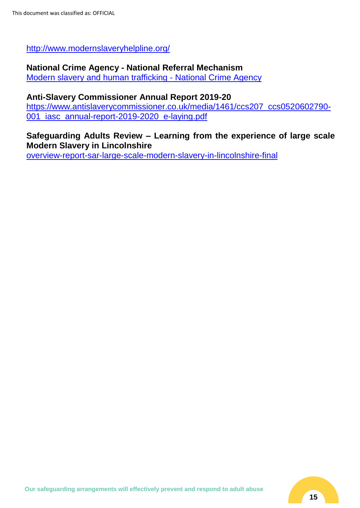<http://www.modernslaveryhelpline.org/>

# **National Crime Agency - National Referral Mechanism**

[Modern slavery and human trafficking -](https://nationalcrimeagency.gov.uk/what-we-do/crime-threats/modern-slavery-and-human-trafficking) National Crime Agency

#### **Anti-Slavery Commissioner Annual Report 2019-20**

[https://www.antislaverycommissioner.co.uk/media/1461/ccs207\\_ccs0520602790-](https://www.antislaverycommissioner.co.uk/media/1461/ccs207_ccs0520602790-001_iasc_annual-report-2019-2020_e-laying.pdf) [001\\_iasc\\_annual-report-2019-2020\\_e-laying.pdf](https://www.antislaverycommissioner.co.uk/media/1461/ccs207_ccs0520602790-001_iasc_annual-report-2019-2020_e-laying.pdf)

#### **Safeguarding Adults Review – Learning from the experience of large scale Modern Slavery in Lincolnshire**

[overview-report-sar-large-scale-modern-slavery-in-lincolnshire-final](https://www.lincolnshire.gov.uk/downloads/file/2067/overview-report-sar-large-scale-modern-slavery-in-lincolnshire-final)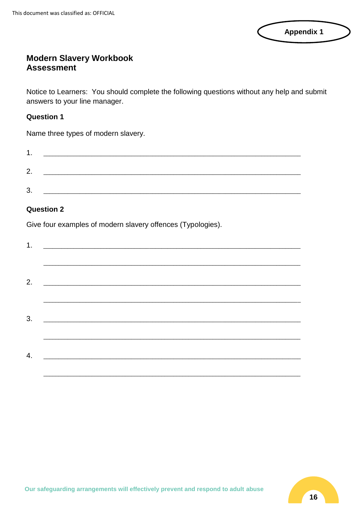| <b>Appendix 1</b> |  |
|-------------------|--|
|                   |  |

# **Modern Slavery Workbook Assessment**

Notice to Learners: You should complete the following questions without any help and submit answers to your line manager.

#### **Question 1**

Name three types of modern slavery.

| ٠       |  |  |  |
|---------|--|--|--|
| Ω       |  |  |  |
| ົ<br>J. |  |  |  |

#### **Question 2**

Give four examples of modern slavery offences (Typologies).

| 1. |  |  |  |  |
|----|--|--|--|--|
|    |  |  |  |  |
|    |  |  |  |  |
| 2. |  |  |  |  |
|    |  |  |  |  |
| 3. |  |  |  |  |
|    |  |  |  |  |
| 4. |  |  |  |  |
|    |  |  |  |  |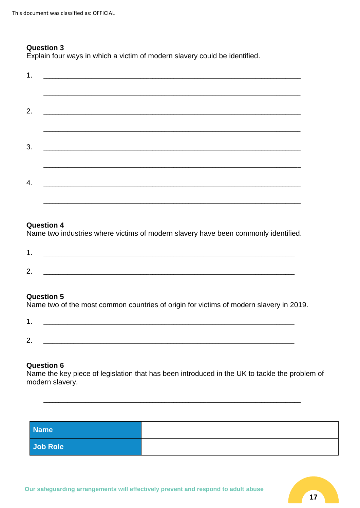#### **Question 3**

Explain four ways in which a victim of modern slavery could be identified.

|    | 1. $\qquad \qquad$                                                                                                    |  |  |
|----|-----------------------------------------------------------------------------------------------------------------------|--|--|
|    |                                                                                                                       |  |  |
| 2. |                                                                                                                       |  |  |
|    |                                                                                                                       |  |  |
| 3. | <u> 1989 - Jan James James James James James James James James James James James James James James James James Ja</u> |  |  |
|    |                                                                                                                       |  |  |
| 4. | <u> 2000 - Jan James James James James James James James James James James James James James James James James Ja</u> |  |  |
|    |                                                                                                                       |  |  |

#### **Question 4**

Name two industries where victims of modern slavery have been commonly identified.

| ⌒<br><u>.</u> | ________<br>____ |  | _______ |
|---------------|------------------|--|---------|

#### **Question 5**

Name two of the most common countries of origin for victims of modern slavery in 2019.

| ┍          |  |
|------------|--|
| <u>.</u> . |  |

#### **Question 6**

Name the key piece of legislation that has been introduced in the UK to tackle the problem of modern slavery.

| <b>Name</b> |  |
|-------------|--|
| Job Role    |  |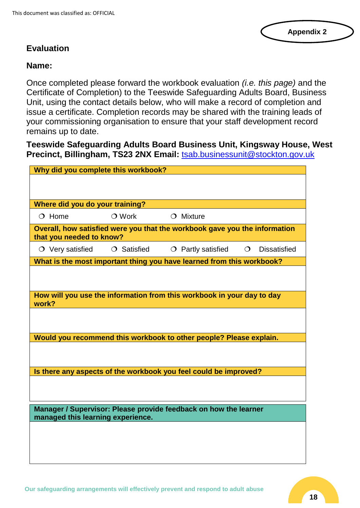#### **Appendix 2**

## **Evaluation**

#### **Name:**

Once completed please forward the workbook evaluation *(i.e. this page)* and the Certificate of Completion) to the Teeswide Safeguarding Adults Board, Business Unit, using the contact details below, who will make a record of completion and issue a certificate. Completion records may be shared with the training leads of your commissioning organisation to ensure that your staff development record remains up to date.

**Teeswide Safeguarding Adults Board Business Unit, Kingsway House, West Precinct, Billingham, TS23 2NX Email:** [tsab.businessunit@stockton.gov.uk](mailto:tsab.businessunit@stockton.gov.uk)

| Why did you complete this workbook? |                   |                                                                            |         |                     |
|-------------------------------------|-------------------|----------------------------------------------------------------------------|---------|---------------------|
|                                     |                   |                                                                            |         |                     |
|                                     |                   |                                                                            |         |                     |
| Where did you do your training?     |                   |                                                                            |         |                     |
| $O$ Home                            | $\bigcirc$ Work   | $O$ Mixture                                                                |         |                     |
| that you needed to know?            |                   | Overall, how satisfied were you that the workbook gave you the information |         |                     |
| $\circ$ Very satisfied              | $\circ$ Satisfied | $\circ$ Partly satisfied                                                   | $\circ$ | <b>Dissatisfied</b> |
|                                     |                   | What is the most important thing you have learned from this workbook?      |         |                     |
|                                     |                   |                                                                            |         |                     |
|                                     |                   |                                                                            |         |                     |
| work?                               |                   | How will you use the information from this workbook in your day to day     |         |                     |
|                                     |                   |                                                                            |         |                     |
|                                     |                   |                                                                            |         |                     |
|                                     |                   | Would you recommend this workbook to other people? Please explain.         |         |                     |
|                                     |                   |                                                                            |         |                     |
|                                     |                   |                                                                            |         |                     |
|                                     |                   | Is there any aspects of the workbook you feel could be improved?           |         |                     |
|                                     |                   |                                                                            |         |                     |
|                                     |                   |                                                                            |         |                     |
| managed this learning experience.   |                   | Manager / Supervisor: Please provide feedback on how the learner           |         |                     |
|                                     |                   |                                                                            |         |                     |
|                                     |                   |                                                                            |         |                     |
|                                     |                   |                                                                            |         |                     |